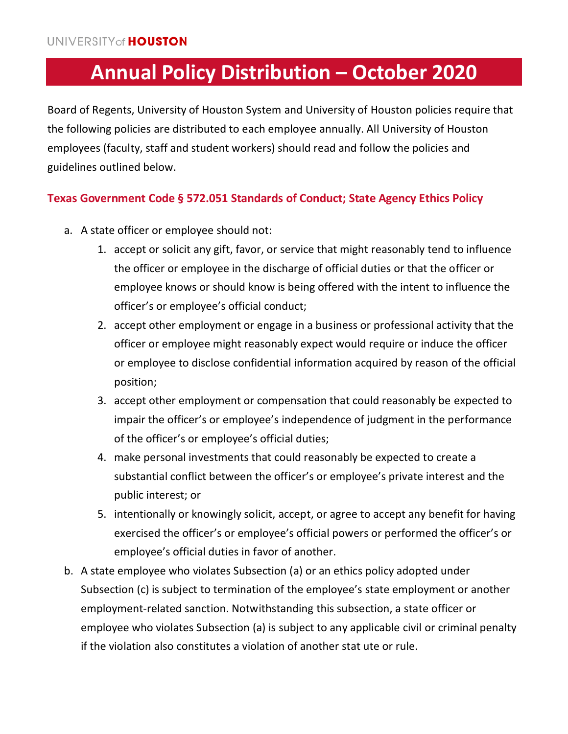# **Annual Policy Distribution – October 2020**

Board of Regents, University of Houston System and University of Houston policies require that the following policies are distributed to each employee annually. All University of Houston employees (faculty, staff and student workers) should read and follow the policies and guidelines outlined below.

# **Texas Government Code § 572.051 Standards of Conduct; State Agency Ethics Policy**

- a. A state officer or employee should not:
	- 1. accept or solicit any gift, favor, or service that might reasonably tend to influence the officer or employee in the discharge of official duties or that the officer or employee knows or should know is being offered with the intent to influence the officer's or employee's official conduct;
	- 2. accept other employment or engage in a business or professional activity that the officer or employee might reasonably expect would require or induce the officer or employee to disclose confidential information acquired by reason of the official position;
	- 3. accept other employment or compensation that could reasonably be expected to impair the officer's or employee's independence of judgment in the performance of the officer's or employee's official duties;
	- 4. make personal investments that could reasonably be expected to create a substantial conflict between the officer's or employee's private interest and the public interest; or
	- 5. intentionally or knowingly solicit, accept, or agree to accept any benefit for having exercised the officer's or employee's official powers or performed the officer's or employee's official duties in favor of another.
- b. A state employee who violates Subsection (a) or an ethics policy adopted under Subsection (c) is subject to termination of the employee's state employment or another employment-related sanction. Notwithstanding this subsection, a state officer or employee who violates Subsection (a) is subject to any applicable civil or criminal penalty if the violation also constitutes a violation of another stat ute or rule.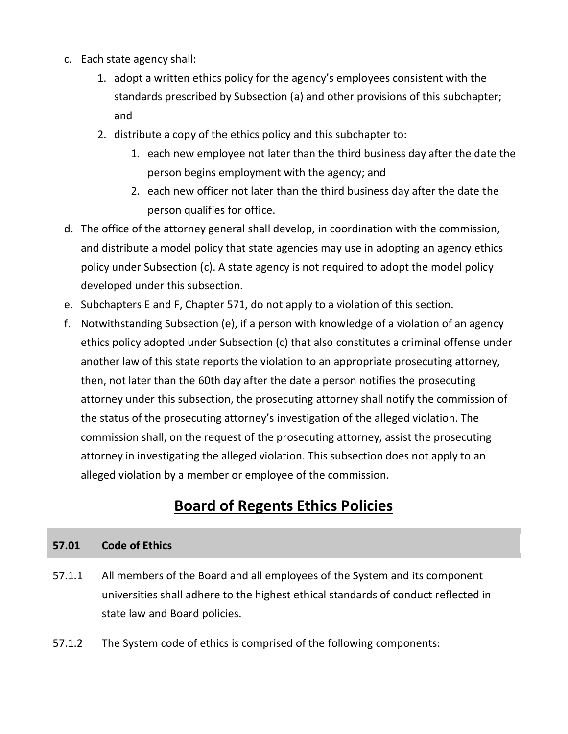- c. Each state agency shall:
	- 1. adopt a written ethics policy for the agency's employees consistent with the standards prescribed by Subsection (a) and other provisions of this subchapter; and
	- 2. distribute a copy of the ethics policy and this subchapter to:
		- 1. each new employee not later than the third business day after the date the person begins employment with the agency; and
		- 2. each new officer not later than the third business day after the date the person qualifies for office.
- d. The office of the attorney general shall develop, in coordination with the commission, and distribute a model policy that state agencies may use in adopting an agency ethics policy under Subsection (c). A state agency is not required to adopt the model policy developed under this subsection.
- e. Subchapters E and F, Chapter 571, do not apply to a violation of this section.
- f. Notwithstanding Subsection (e), if a person with knowledge of a violation of an agency ethics policy adopted under Subsection (c) that also constitutes a criminal offense under another law of this state reports the violation to an appropriate prosecuting attorney, then, not later than the 60th day after the date a person notifies the prosecuting attorney under this subsection, the prosecuting attorney shall notify the commission of the status of the prosecuting attorney's investigation of the alleged violation. The commission shall, on the request of the prosecuting attorney, assist the prosecuting attorney in investigating the alleged violation. This subsection does not apply to an alleged violation by a member or employee of the commission.

# **Board of Regents Ethics Policies**

### **57.01 Code of Ethics**

- 57.1.1 All members of the Board and all employees of the System and its component universities shall adhere to the highest ethical standards of conduct reflected in state law and Board policies.
- 57.1.2 The System code of ethics is comprised of the following components: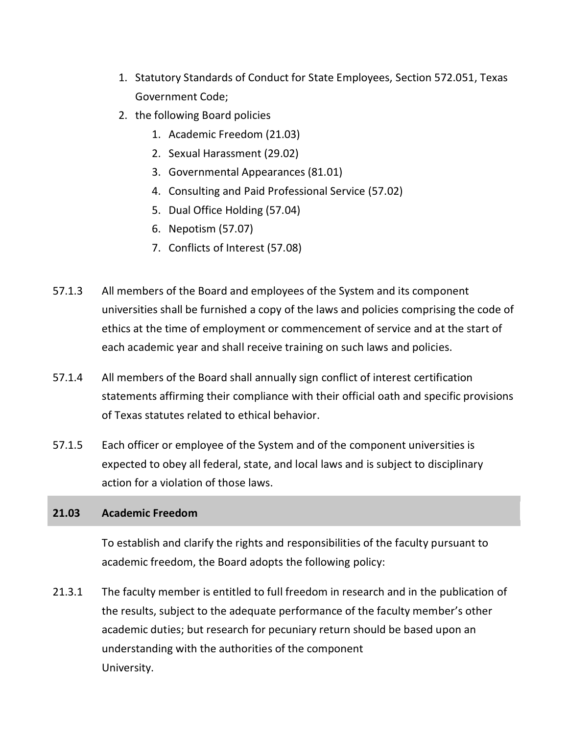- 1. Statutory Standards of Conduct for State Employees, Section 572.051, Texas Government Code;
- 2. the following Board policies
	- 1. Academic Freedom (21.03)
	- 2. Sexual Harassment (29.02)
	- 3. Governmental Appearances (81.01)
	- 4. Consulting and Paid Professional Service (57.02)
	- 5. Dual Office Holding (57.04)
	- 6. Nepotism (57.07)
	- 7. Conflicts of Interest (57.08)
- 57.1.3 All members of the Board and employees of the System and its component universities shall be furnished a copy of the laws and policies comprising the code of ethics at the time of employment or commencement of service and at the start of each academic year and shall receive training on such laws and policies.
- 57.1.4 All members of the Board shall annually sign conflict of interest certification statements affirming their compliance with their official oath and specific provisions of Texas statutes related to ethical behavior.
- 57.1.5 Each officer or employee of the System and of the component universities is expected to obey all federal, state, and local laws and is subject to disciplinary action for a violation of those laws.

# **21.03 Academic Freedom**

To establish and clarify the rights and responsibilities of the faculty pursuant to academic freedom, the Board adopts the following policy:

21.3.1 The faculty member is entitled to full freedom in research and in the publication of the results, subject to the adequate performance of the faculty member's other academic duties; but research for pecuniary return should be based upon an understanding with the authorities of the component University.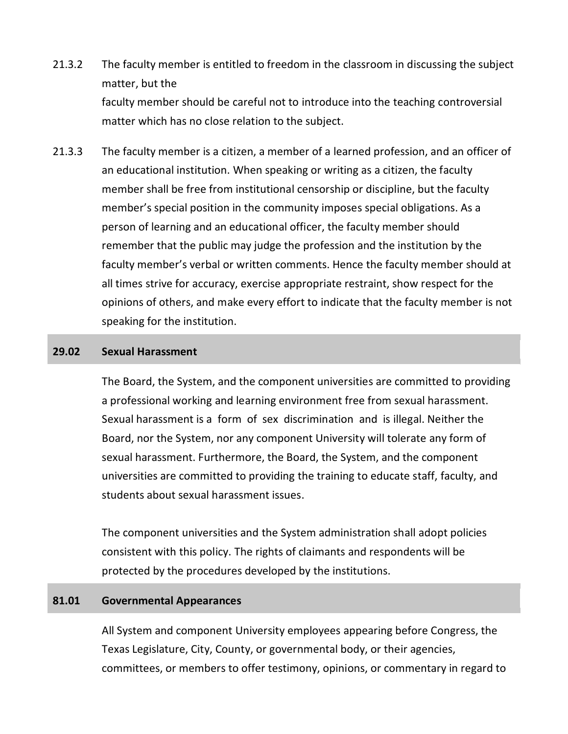- 21.3.2 The faculty member is entitled to freedom in the classroom in discussing the subject matter, but the faculty member should be careful not to introduce into the teaching controversial matter which has no close relation to the subject.
- 21.3.3 The faculty member is a citizen, a member of a learned profession, and an officer of an educational institution. When speaking or writing as a citizen, the faculty member shall be free from institutional censorship or discipline, but the faculty member's special position in the community imposes special obligations. As a person of learning and an educational officer, the faculty member should remember that the public may judge the profession and the institution by the faculty member's verbal or written comments. Hence the faculty member should at all times strive for accuracy, exercise appropriate restraint, show respect for the opinions of others, and make every effort to indicate that the faculty member is not speaking for the institution.

#### **29.02 Sexual Harassment**

The Board, the System, and the component universities are committed to providing a professional working and learning environment free from sexual harassment. Sexual harassment is a form of sex discrimination and is illegal. Neither the Board, nor the System, nor any component University will tolerate any form of sexual harassment. Furthermore, the Board, the System, and the component universities are committed to providing the training to educate staff, faculty, and students about sexual harassment issues.

The component universities and the System administration shall adopt policies consistent with this policy. The rights of claimants and respondents will be protected by the procedures developed by the institutions.

#### **81.01 Governmental Appearances**

All System and component University employees appearing before Congress, the Texas Legislature, City, County, or governmental body, or their agencies, committees, or members to offer testimony, opinions, or commentary in regard to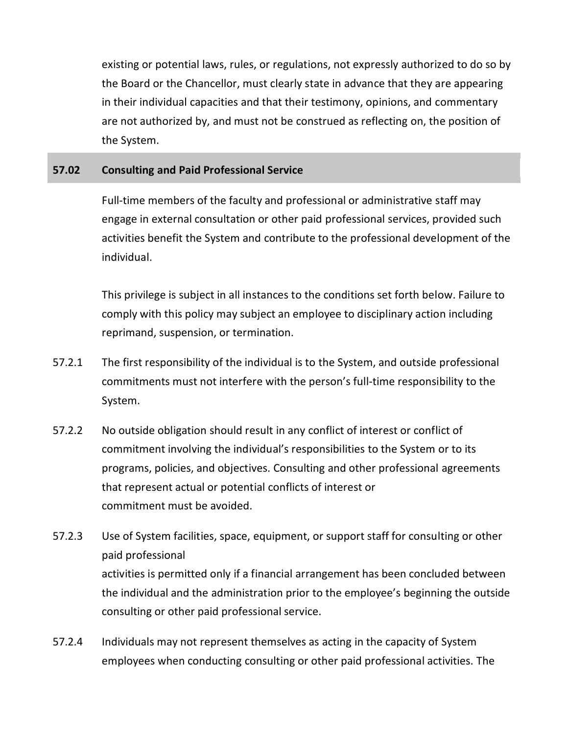existing or potential laws, rules, or regulations, not expressly authorized to do so by the Board or the Chancellor, must clearly state in advance that they are appearing in their individual capacities and that their testimony, opinions, and commentary are not authorized by, and must not be construed as reflecting on, the position of the System.

## **57.02 Consulting and Paid Professional Service**

Full-time members of the faculty and professional or administrative staff may engage in external consultation or other paid professional services, provided such activities benefit the System and contribute to the professional development of the individual.

This privilege is subject in all instances to the conditions set forth below. Failure to comply with this policy may subject an employee to disciplinary action including reprimand, suspension, or termination.

- 57.2.1 The first responsibility of the individual is to the System, and outside professional commitments must not interfere with the person's full-time responsibility to the System.
- 57.2.2 No outside obligation should result in any conflict of interest or conflict of commitment involving the individual's responsibilities to the System or to its programs, policies, and objectives. Consulting and other professional agreements that represent actual or potential conflicts of interest or commitment must be avoided.
- 57.2.3 Use of System facilities, space, equipment, or support staff for consulting or other paid professional activities is permitted only if a financial arrangement has been concluded between the individual and the administration prior to the employee's beginning the outside consulting or other paid professional service.
- 57.2.4 Individuals may not represent themselves as acting in the capacity of System employees when conducting consulting or other paid professional activities. The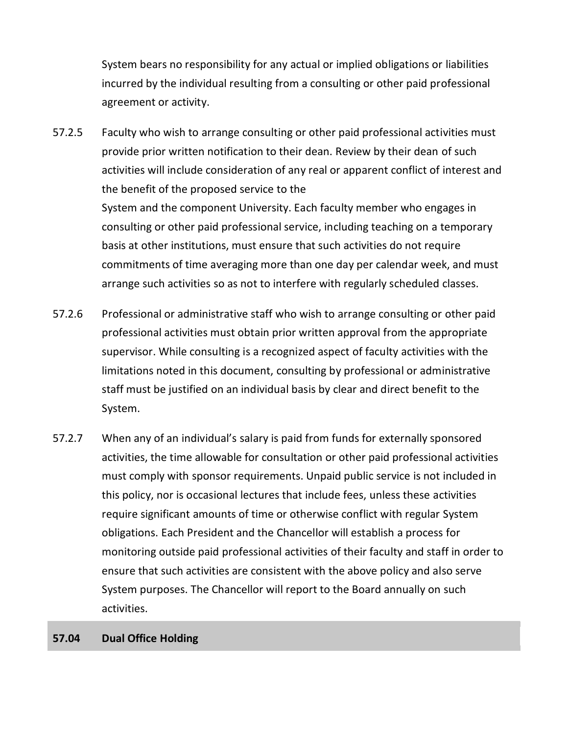System bears no responsibility for any actual or implied obligations or liabilities incurred by the individual resulting from a consulting or other paid professional agreement or activity.

57.2.5 Faculty who wish to arrange consulting or other paid professional activities must provide prior written notification to their dean. Review by their dean of such activities will include consideration of any real or apparent conflict of interest and the benefit of the proposed service to the

> System and the component University. Each faculty member who engages in consulting or other paid professional service, including teaching on a temporary basis at other institutions, must ensure that such activities do not require commitments of time averaging more than one day per calendar week, and must arrange such activities so as not to interfere with regularly scheduled classes.

- 57.2.6 Professional or administrative staff who wish to arrange consulting or other paid professional activities must obtain prior written approval from the appropriate supervisor. While consulting is a recognized aspect of faculty activities with the limitations noted in this document, consulting by professional or administrative staff must be justified on an individual basis by clear and direct benefit to the System.
- 57.2.7 When any of an individual's salary is paid from funds for externally sponsored activities, the time allowable for consultation or other paid professional activities must comply with sponsor requirements. Unpaid public service is not included in this policy, nor is occasional lectures that include fees, unless these activities require significant amounts of time or otherwise conflict with regular System obligations. Each President and the Chancellor will establish a process for monitoring outside paid professional activities of their faculty and staff in order to ensure that such activities are consistent with the above policy and also serve System purposes. The Chancellor will report to the Board annually on such activities.
- **57.04 Dual Office Holding**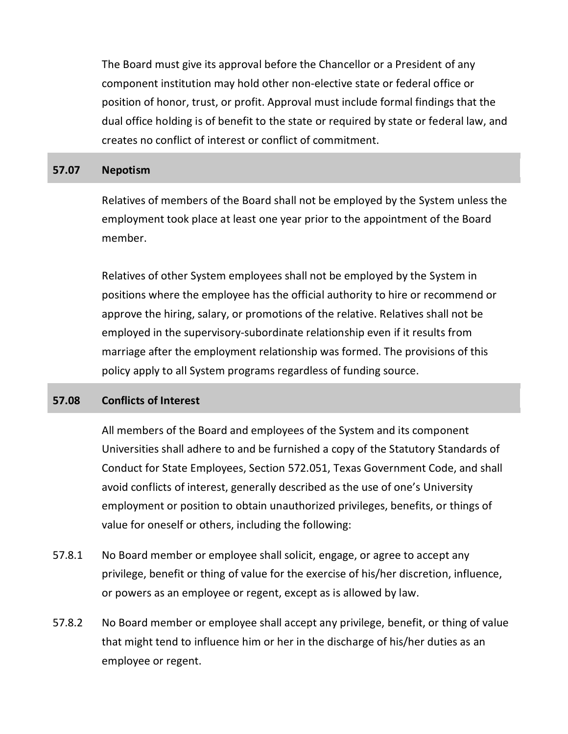The Board must give its approval before the Chancellor or a President of any component institution may hold other non-elective state or federal office or position of honor, trust, or profit. Approval must include formal findings that the dual office holding is of benefit to the state or required by state or federal law, and creates no conflict of interest or conflict of commitment.

#### **57.07 Nepotism**

Relatives of members of the Board shall not be employed by the System unless the employment took place at least one year prior to the appointment of the Board member.

Relatives of other System employees shall not be employed by the System in positions where the employee has the official authority to hire or recommend or approve the hiring, salary, or promotions of the relative. Relatives shall not be employed in the supervisory-subordinate relationship even if it results from marriage after the employment relationship was formed. The provisions of this policy apply to all System programs regardless of funding source.

#### **57.08 Conflicts of Interest**

All members of the Board and employees of the System and its component Universities shall adhere to and be furnished a copy of the Statutory Standards of Conduct for State Employees, Section 572.051, Texas Government Code, and shall avoid conflicts of interest, generally described as the use of one's University employment or position to obtain unauthorized privileges, benefits, or things of value for oneself or others, including the following:

- 57.8.1 No Board member or employee shall solicit, engage, or agree to accept any privilege, benefit or thing of value for the exercise of his/her discretion, influence, or powers as an employee or regent, except as is allowed by law.
- 57.8.2 No Board member or employee shall accept any privilege, benefit, or thing of value that might tend to influence him or her in the discharge of his/her duties as an employee or regent.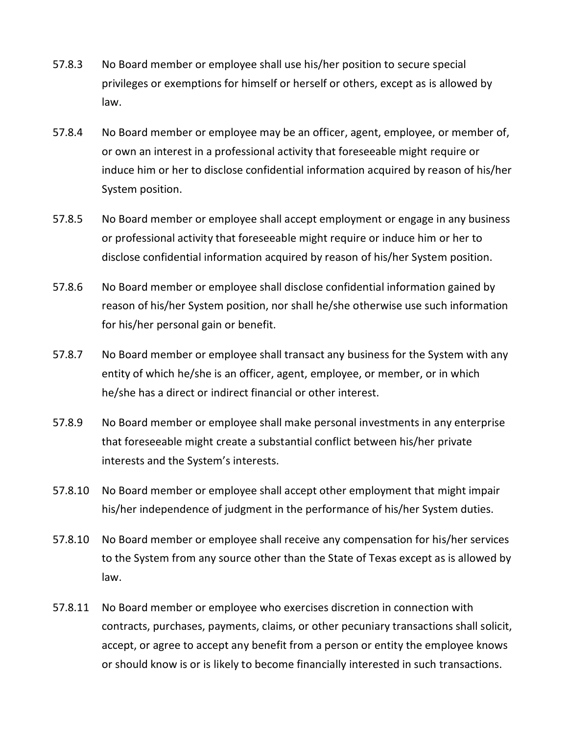- 57.8.3 No Board member or employee shall use his/her position to secure special privileges or exemptions for himself or herself or others, except as is allowed by law.
- 57.8.4 No Board member or employee may be an officer, agent, employee, or member of, or own an interest in a professional activity that foreseeable might require or induce him or her to disclose confidential information acquired by reason of his/her System position.
- 57.8.5 No Board member or employee shall accept employment or engage in any business or professional activity that foreseeable might require or induce him or her to disclose confidential information acquired by reason of his/her System position.
- 57.8.6 No Board member or employee shall disclose confidential information gained by reason of his/her System position, nor shall he/she otherwise use such information for his/her personal gain or benefit.
- 57.8.7 No Board member or employee shall transact any business for the System with any entity of which he/she is an officer, agent, employee, or member, or in which he/she has a direct or indirect financial or other interest.
- 57.8.9 No Board member or employee shall make personal investments in any enterprise that foreseeable might create a substantial conflict between his/her private interests and the System's interests.
- 57.8.10 No Board member or employee shall accept other employment that might impair his/her independence of judgment in the performance of his/her System duties.
- 57.8.10 No Board member or employee shall receive any compensation for his/her services to the System from any source other than the State of Texas except as is allowed by law.
- 57.8.11 No Board member or employee who exercises discretion in connection with contracts, purchases, payments, claims, or other pecuniary transactions shall solicit, accept, or agree to accept any benefit from a person or entity the employee knows or should know is or is likely to become financially interested in such transactions.